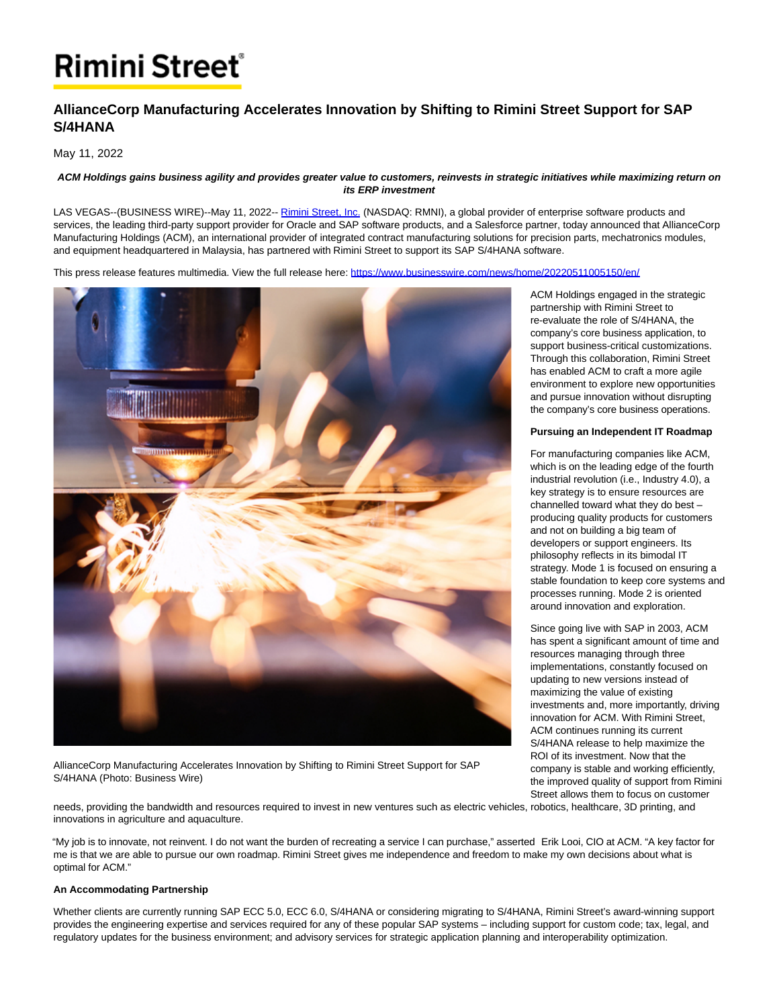# **Rimini Street**®

# **AllianceCorp Manufacturing Accelerates Innovation by Shifting to Rimini Street Support for SAP S/4HANA**

May 11, 2022

#### **ACM Holdings gains business agility and provides greater value to customers, reinvests in strategic initiatives while maximizing return on its ERP investment**

LAS VEGAS--(BUSINESS WIRE)--May 11, 2022-- [Rimini Street, Inc. \(](https://cts.businesswire.com/ct/CT?id=smartlink&url=https%3A%2F%2Fwww.riministreet.com%2F%3Futm_source%3Dbusinesswire%26utm_medium%3Dpressrelease%26utm_campaign%3Dacm_malaysia&esheet=52714928&newsitemid=20220511005150&lan=en-US&anchor=Rimini+Street%2C+Inc.&index=1&md5=75546de27620a180daeb759f37ae2bda)NASDAQ: RMNI), a global provider of enterprise software products and services, the leading third-party support provider for Oracle and SAP software products, and a Salesforce partner, today announced that AllianceCorp Manufacturing Holdings (ACM), an international provider of integrated contract manufacturing solutions for precision parts, mechatronics modules, and equipment headquartered in Malaysia, has partnered with Rimini Street to support its SAP S/4HANA software.

This press release features multimedia. View the full release here:<https://www.businesswire.com/news/home/20220511005150/en/>



AllianceCorp Manufacturing Accelerates Innovation by Shifting to Rimini Street Support for SAP S/4HANA (Photo: Business Wire)

ACM Holdings engaged in the strategic partnership with Rimini Street to re-evaluate the role of S/4HANA, the company's core business application, to support business-critical customizations. Through this collaboration, Rimini Street has enabled ACM to craft a more agile environment to explore new opportunities and pursue innovation without disrupting the company's core business operations.

#### **Pursuing an Independent IT Roadmap**

For manufacturing companies like ACM, which is on the leading edge of the fourth industrial revolution (i.e., Industry 4.0), a key strategy is to ensure resources are channelled toward what they do best – producing quality products for customers and not on building a big team of developers or support engineers. Its philosophy reflects in its bimodal IT strategy. Mode 1 is focused on ensuring a stable foundation to keep core systems and processes running. Mode 2 is oriented around innovation and exploration.

Since going live with SAP in 2003, ACM has spent a significant amount of time and resources managing through three implementations, constantly focused on updating to new versions instead of maximizing the value of existing investments and, more importantly, driving innovation for ACM. With Rimini Street, ACM continues running its current S/4HANA release to help maximize the ROI of its investment. Now that the company is stable and working efficiently, the improved quality of support from Rimini Street allows them to focus on customer

needs, providing the bandwidth and resources required to invest in new ventures such as electric vehicles, robotics, healthcare, 3D printing, and innovations in agriculture and aquaculture.

"My job is to innovate, not reinvent. I do not want the burden of recreating a service I can purchase," asserted Erik Looi, CIO at ACM. "A key factor for me is that we are able to pursue our own roadmap. Rimini Street gives me independence and freedom to make my own decisions about what is optimal for ACM."

## **An Accommodating Partnership**

Whether clients are currently running SAP ECC 5.0, ECC 6.0, S/4HANA or considering migrating to S/4HANA, Rimini Street's award-winning support provides the engineering expertise and services required for any of these popular SAP systems – including support for custom code; tax, legal, and regulatory updates for the business environment; and advisory services for strategic application planning and interoperability optimization.